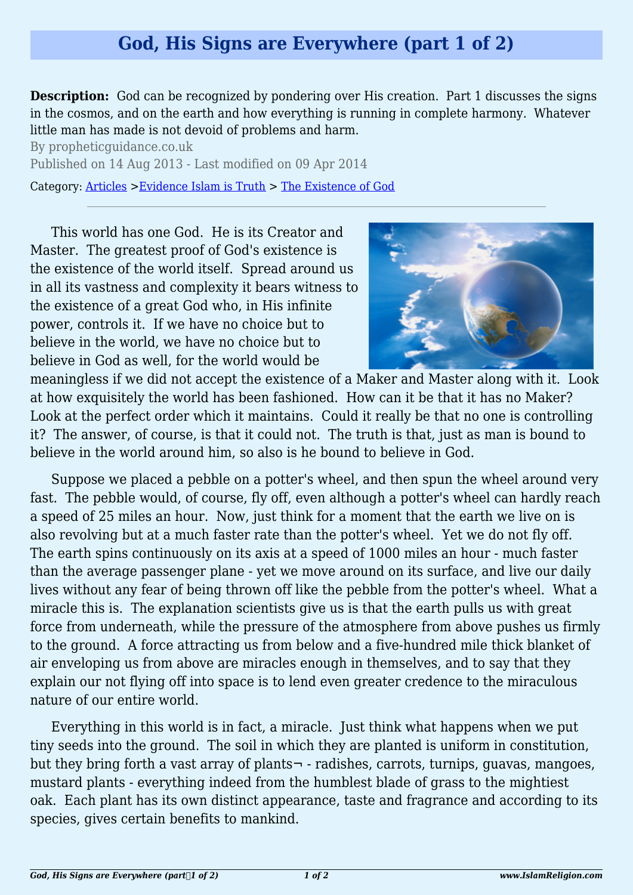## **God, His Signs are Everywhere (part 1 of 2)**

**Description:** God can be recognized by pondering over His creation. Part 1 discusses the signs in the cosmos, and on the earth and how everything is running in complete harmony. Whatever little man has made is not devoid of problems and harm.

By propheticguidance.co.uk Published on 14 Aug 2013 - Last modified on 09 Apr 2014

Category: [Articles](http://www.islamreligion.com/articles/) >[Evidence Islam is Truth](http://www.islamreligion.com/category/33/) > [The Existence of God](http://www.islamreligion.com/category/39/)

This world has one God. He is its Creator and Master. The greatest proof of God's existence is the existence of the world itself. Spread around us in all its vastness and complexity it bears witness to the existence of a great God who, in His infinite power, controls it. If we have no choice but to believe in the world, we have no choice but to believe in God as well, for the world would be



meaningless if we did not accept the existence of a Maker and Master along with it. Look at how exquisitely the world has been fashioned. How can it be that it has no Maker? Look at the perfect order which it maintains. Could it really be that no one is controlling it? The answer, of course, is that it could not. The truth is that, just as man is bound to believe in the world around him, so also is he bound to believe in God.

Suppose we placed a pebble on a potter's wheel, and then spun the wheel around very fast. The pebble would, of course, fly off, even although a potter's wheel can hardly reach a speed of 25 miles an hour. Now, just think for a moment that the earth we live on is also revolving but at a much faster rate than the potter's wheel. Yet we do not fly off. The earth spins continuously on its axis at a speed of 1000 miles an hour - much faster than the average passenger plane - yet we move around on its surface, and live our daily lives without any fear of being thrown off like the pebble from the potter's wheel. What a miracle this is. The explanation scientists give us is that the earth pulls us with great force from underneath, while the pressure of the atmosphere from above pushes us firmly to the ground. A force attracting us from below and a five-hundred mile thick blanket of air enveloping us from above are miracles enough in themselves, and to say that they explain our not flying off into space is to lend even greater credence to the miraculous nature of our entire world.

Everything in this world is in fact, a miracle. Just think what happens when we put tiny seeds into the ground. The soil in which they are planted is uniform in constitution, but they bring forth a vast array of plants $\neg$  - radishes, carrots, turnips, quavas, mangoes, mustard plants - everything indeed from the humblest blade of grass to the mightiest oak. Each plant has its own distinct appearance, taste and fragrance and according to its species, gives certain benefits to mankind.